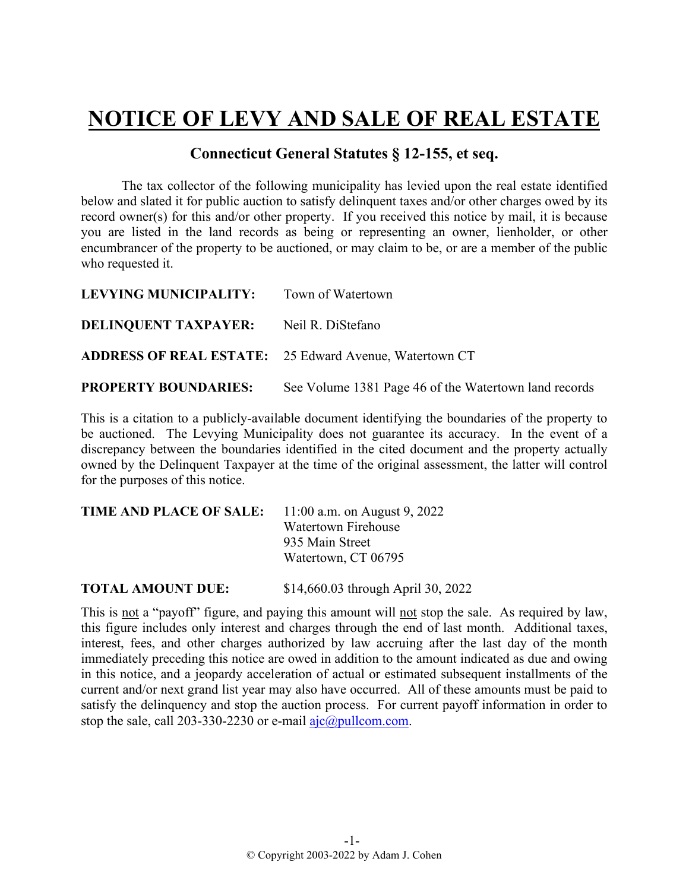## **NOTICE OF LEVY AND SALE OF REAL ESTATE**

## **Connecticut General Statutes § 12-155, et seq.**

The tax collector of the following municipality has levied upon the real estate identified below and slated it for public auction to satisfy delinquent taxes and/or other charges owed by its record owner(s) for this and/or other property. If you received this notice by mail, it is because you are listed in the land records as being or representing an owner, lienholder, or other encumbrancer of the property to be auctioned, or may claim to be, or are a member of the public who requested it.

| LEVYING MUNICIPALITY: Town of Watertown       |                                                               |
|-----------------------------------------------|---------------------------------------------------------------|
| <b>DELINQUENT TAXPAYER:</b> Neil R. DiStefano |                                                               |
|                                               | <b>ADDRESS OF REAL ESTATE:</b> 25 Edward Avenue, Watertown CT |
| <b>PROPERTY BOUNDARIES:</b>                   | See Volume 1381 Page 46 of the Watertown land records         |

This is a citation to a publicly-available document identifying the boundaries of the property to be auctioned. The Levying Municipality does not guarantee its accuracy. In the event of a discrepancy between the boundaries identified in the cited document and the property actually owned by the Delinquent Taxpayer at the time of the original assessment, the latter will control for the purposes of this notice.

| TIME AND PLACE OF SALE: | 11:00 a.m. on August 9, 2022 |
|-------------------------|------------------------------|
|                         | Watertown Firehouse          |
|                         | 935 Main Street              |
|                         | Watertown, CT 06795          |
|                         |                              |

**TOTAL AMOUNT DUE:** \$14,660.03 through April 30, 2022

This is not a "payoff" figure, and paying this amount will not stop the sale. As required by law, this figure includes only interest and charges through the end of last month. Additional taxes, interest, fees, and other charges authorized by law accruing after the last day of the month immediately preceding this notice are owed in addition to the amount indicated as due and owing in this notice, and a jeopardy acceleration of actual or estimated subsequent installments of the current and/or next grand list year may also have occurred. All of these amounts must be paid to satisfy the delinquency and stop the auction process. For current payoff information in order to stop the sale, call 203-330-2230 or e-mail  $a$ jc $@p$ ullcom.com.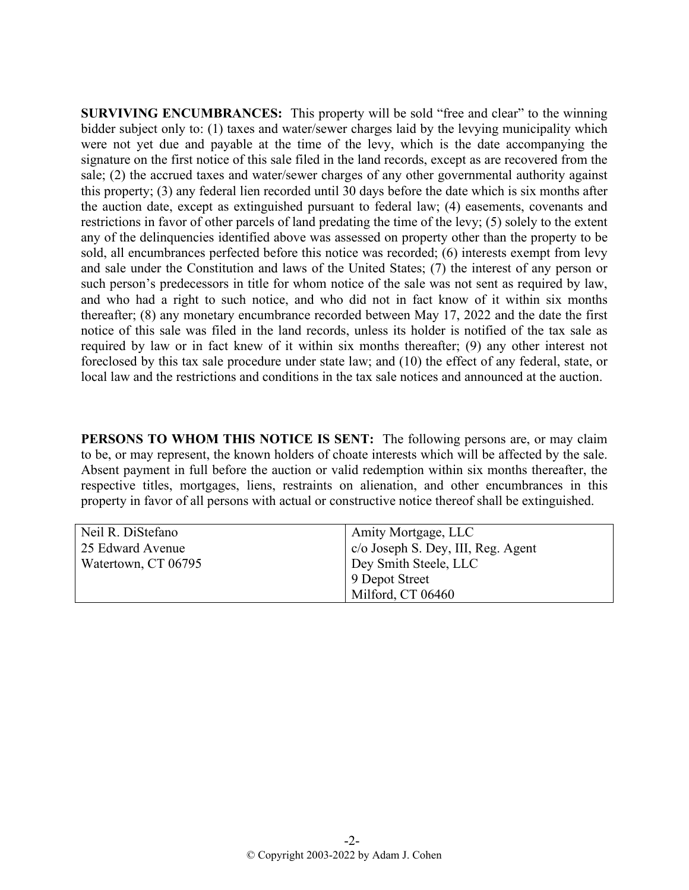**SURVIVING ENCUMBRANCES:** This property will be sold "free and clear" to the winning bidder subject only to: (1) taxes and water/sewer charges laid by the levying municipality which were not yet due and payable at the time of the levy, which is the date accompanying the signature on the first notice of this sale filed in the land records, except as are recovered from the sale; (2) the accrued taxes and water/sewer charges of any other governmental authority against this property; (3) any federal lien recorded until 30 days before the date which is six months after the auction date, except as extinguished pursuant to federal law; (4) easements, covenants and restrictions in favor of other parcels of land predating the time of the levy; (5) solely to the extent any of the delinquencies identified above was assessed on property other than the property to be sold, all encumbrances perfected before this notice was recorded; (6) interests exempt from levy and sale under the Constitution and laws of the United States; (7) the interest of any person or such person's predecessors in title for whom notice of the sale was not sent as required by law, and who had a right to such notice, and who did not in fact know of it within six months thereafter; (8) any monetary encumbrance recorded between May 17, 2022 and the date the first notice of this sale was filed in the land records, unless its holder is notified of the tax sale as required by law or in fact knew of it within six months thereafter; (9) any other interest not foreclosed by this tax sale procedure under state law; and (10) the effect of any federal, state, or local law and the restrictions and conditions in the tax sale notices and announced at the auction.

**PERSONS TO WHOM THIS NOTICE IS SENT:** The following persons are, or may claim to be, or may represent, the known holders of choate interests which will be affected by the sale. Absent payment in full before the auction or valid redemption within six months thereafter, the respective titles, mortgages, liens, restraints on alienation, and other encumbrances in this property in favor of all persons with actual or constructive notice thereof shall be extinguished.

| Neil R. DiStefano   | Amity Mortgage, LLC                              |
|---------------------|--------------------------------------------------|
| 25 Edward Avenue    | $  \text{ c/o Joseph S. Dey, III, Reg. Agent } $ |
| Watertown, CT 06795 | Dey Smith Steele, LLC                            |
|                     | 9 Depot Street                                   |
|                     | Milford, CT 06460                                |